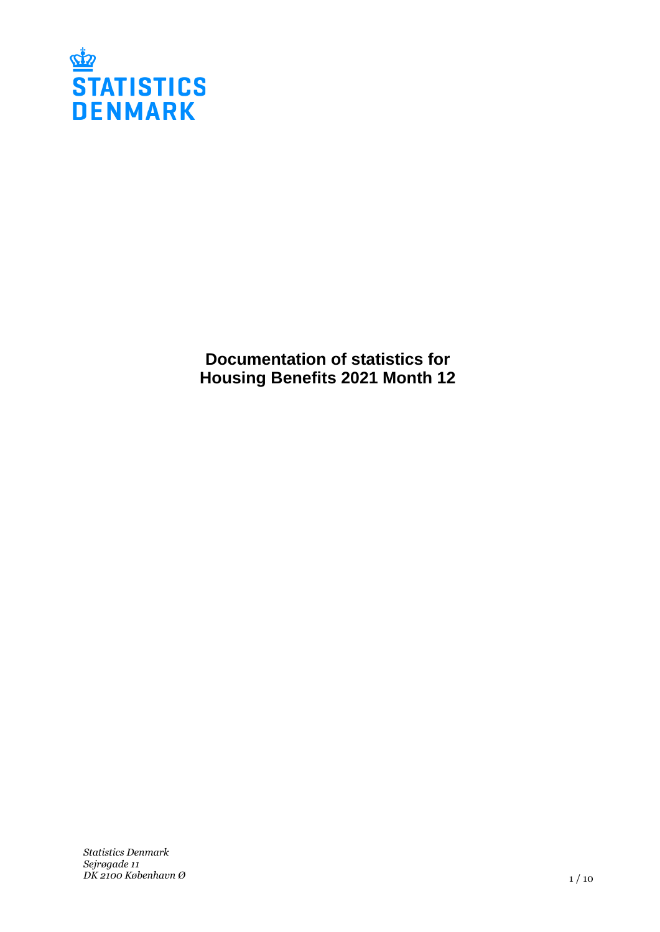

**Documentation of statistics for Housing Benefits 2021 Month 12**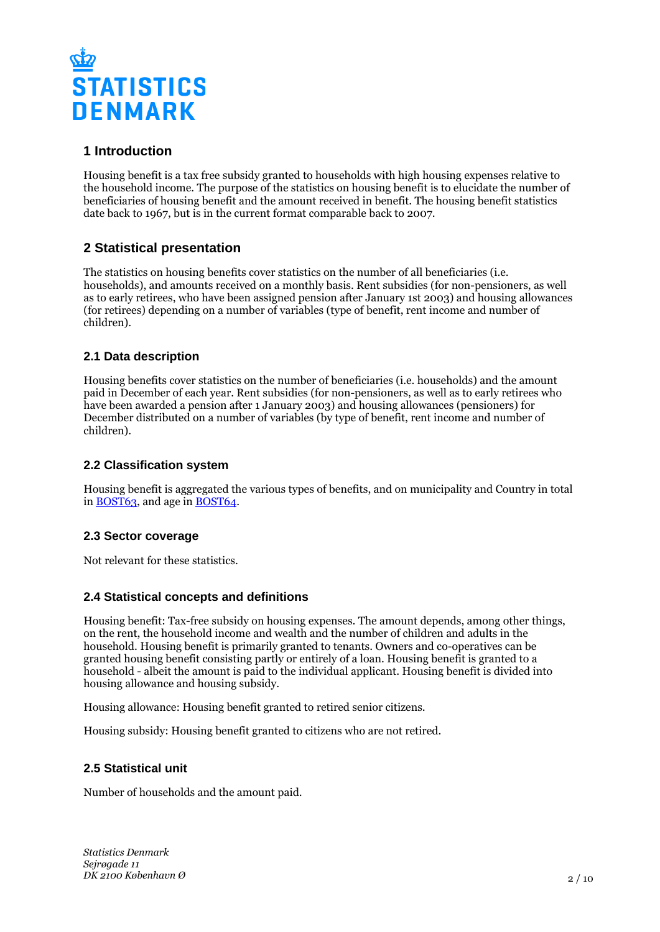

# **1 Introduction**

Housing benefit is a tax free subsidy granted to households with high housing expenses relative to the household income. The purpose of the statistics on housing benefit is to elucidate the number of beneficiaries of housing benefit and the amount received in benefit. The housing benefit statistics date back to 1967, but is in the current format comparable back to 2007.

# **2 Statistical presentation**

The statistics on housing benefits cover statistics on the number of all beneficiaries (i.e. households), and amounts received on a monthly basis. Rent subsidies (for non-pensioners, as well as to early retirees, who have been assigned pension after January 1st 2003) and housing allowances (for retirees) depending on a number of variables (type of benefit, rent income and number of children).

## **2.1 Data description**

Housing benefits cover statistics on the number of beneficiaries (i.e. households) and the amount paid in December of each year. Rent subsidies (for non-pensioners, as well as to early retirees who have been awarded a pension after 1 January 2003) and housing allowances (pensioners) for December distributed on a number of variables (by type of benefit, rent income and number of children).

## **2.2 Classification system**

Housing benefit is aggregated the various types of benefits, and on municipality and Country in total in **BOST63**, and age in **BOST64**.

## **2.3 Sector coverage**

Not relevant for these statistics.

## **2.4 Statistical concepts and definitions**

Housing benefit: Tax-free subsidy on housing expenses. The amount depends, among other things, on the rent, the household income and wealth and the number of children and adults in the household. Housing benefit is primarily granted to tenants. Owners and co-operatives can be granted housing benefit consisting partly or entirely of a loan. Housing benefit is granted to a household - albeit the amount is paid to the individual applicant. Housing benefit is divided into housing allowance and housing subsidy.

Housing allowance: Housing benefit granted to retired senior citizens.

Housing subsidy: Housing benefit granted to citizens who are not retired.

## **2.5 Statistical unit**

Number of households and the amount paid.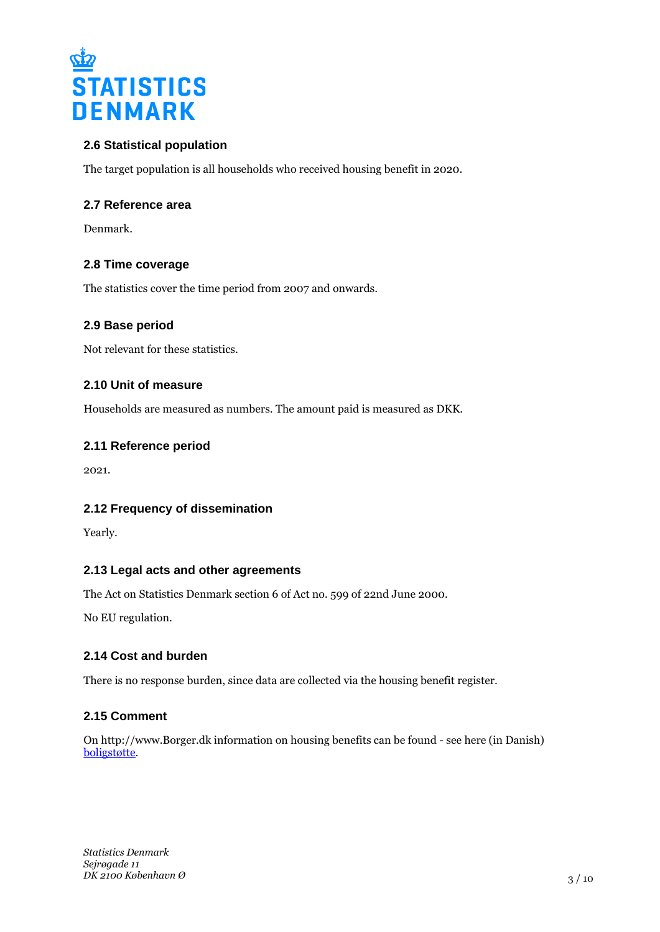

## **2.6 Statistical population**

The target population is all households who received housing benefit in 2020.

#### **2.7 Reference area**

Denmark.

## **2.8 Time coverage**

The statistics cover the time period from 2007 and onwards.

#### **2.9 Base period**

Not relevant for these statistics.

## **2.10 Unit of measure**

Households are measured as numbers. The amount paid is measured as DKK.

#### **2.11 Reference period**

2021.

## **2.12 Frequency of dissemination**

Yearly.

## **2.13 Legal acts and other agreements**

The Act on Statistics Denmark section 6 of Act no. 599 of 22nd June 2000.

No EU regulation.

## **2.14 Cost and burden**

There is no response burden, since data are collected via the housing benefit register.

## **2.15 Comment**

On http://www.Borger.dk information on housing benefits can be found - see here (in Danish) [boligstøtte](https://www.borger.dk/bolig-og-flytning/Boligstoette-oversigt).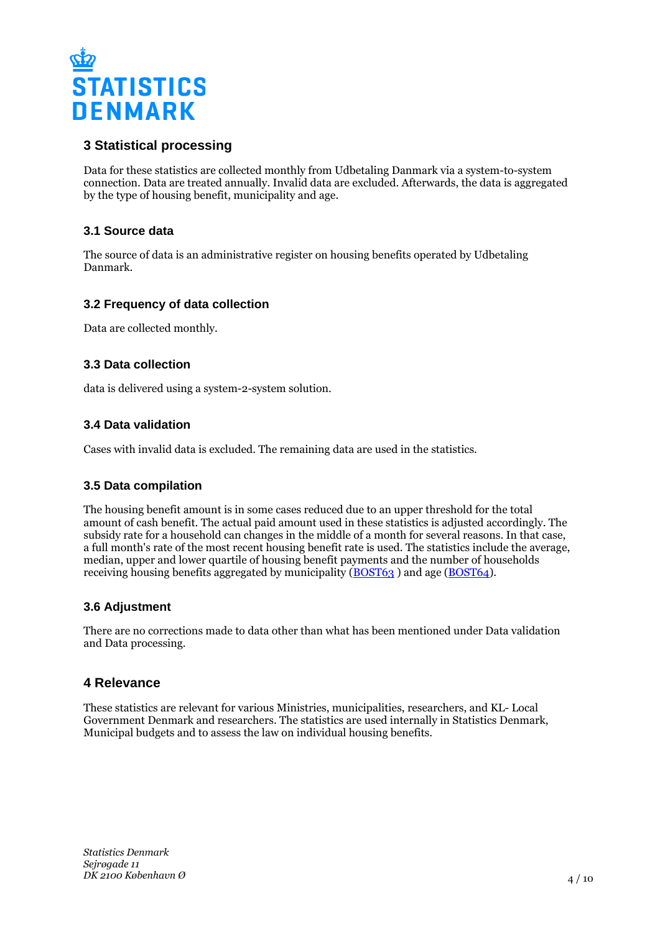

# **3 Statistical processing**

Data for these statistics are collected monthly from Udbetaling Danmark via a system-to-system connection. Data are treated annually. Invalid data are excluded. Afterwards, the data is aggregated by the type of housing benefit, municipality and age.

## **3.1 Source data**

The source of data is an administrative register on housing benefits operated by Udbetaling Danmark.

## **3.2 Frequency of data collection**

Data are collected monthly.

#### **3.3 Data collection**

data is delivered using a system-2-system solution.

## **3.4 Data validation**

Cases with invalid data is excluded. The remaining data are used in the statistics.

#### **3.5 Data compilation**

The housing benefit amount is in some cases reduced due to an upper threshold for the total amount of cash benefit. The actual paid amount used in these statistics is adjusted accordingly. The subsidy rate for a household can changes in the middle of a month for several reasons. In that case, a full month's rate of the most recent housing benefit rate is used. The statistics include the average, median, upper and lower quartile of housing benefit payments and the number of households receiving housing benefits aggregated by municipality ([BOST63](https://www.statbank.dk/bost63) ) and age ([BOST64\)](https://www.statbank.dk/bost64).

## **3.6 Adjustment**

There are no corrections made to data other than what has been mentioned under Data validation and Data processing.

## **4 Relevance**

These statistics are relevant for various Ministries, municipalities, researchers, and KL- Local Government Denmark and researchers. The statistics are used internally in Statistics Denmark, Municipal budgets and to assess the law on individual housing benefits.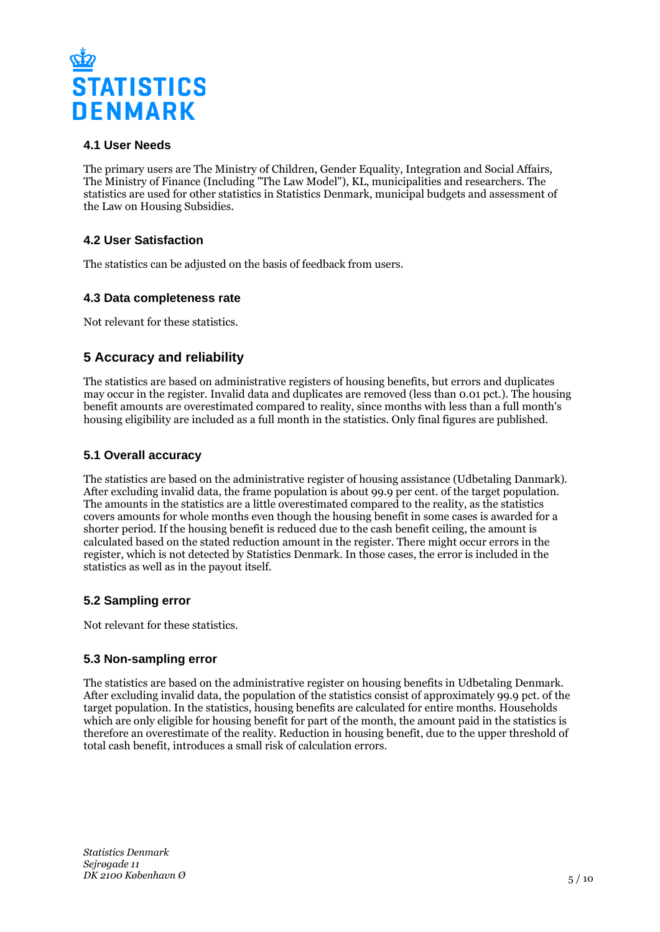

## **4.1 User Needs**

The primary users are The Ministry of Children, Gender Equality, Integration and Social Affairs, The Ministry of Finance (Including "The Law Model"), KL, municipalities and researchers. The statistics are used for other statistics in Statistics Denmark, municipal budgets and assessment of the Law on Housing Subsidies.

## **4.2 User Satisfaction**

The statistics can be adjusted on the basis of feedback from users.

#### **4.3 Data completeness rate**

Not relevant for these statistics.

# **5 Accuracy and reliability**

The statistics are based on administrative registers of housing benefits, but errors and duplicates may occur in the register. Invalid data and duplicates are removed (less than 0.01 pct.). The housing benefit amounts are overestimated compared to reality, since months with less than a full month's housing eligibility are included as a full month in the statistics. Only final figures are published.

## **5.1 Overall accuracy**

The statistics are based on the administrative register of housing assistance (Udbetaling Danmark). After excluding invalid data, the frame population is about 99.9 per cent. of the target population. The amounts in the statistics are a little overestimated compared to the reality, as the statistics covers amounts for whole months even though the housing benefit in some cases is awarded for a shorter period. If the housing benefit is reduced due to the cash benefit ceiling, the amount is calculated based on the stated reduction amount in the register. There might occur errors in the register, which is not detected by Statistics Denmark. In those cases, the error is included in the statistics as well as in the payout itself.

## **5.2 Sampling error**

Not relevant for these statistics.

## **5.3 Non-sampling error**

The statistics are based on the administrative register on housing benefits in Udbetaling Denmark. After excluding invalid data, the population of the statistics consist of approximately 99.9 pct. of the target population. In the statistics, housing benefits are calculated for entire months. Households which are only eligible for housing benefit for part of the month, the amount paid in the statistics is therefore an overestimate of the reality. Reduction in housing benefit, due to the upper threshold of total cash benefit, introduces a small risk of calculation errors.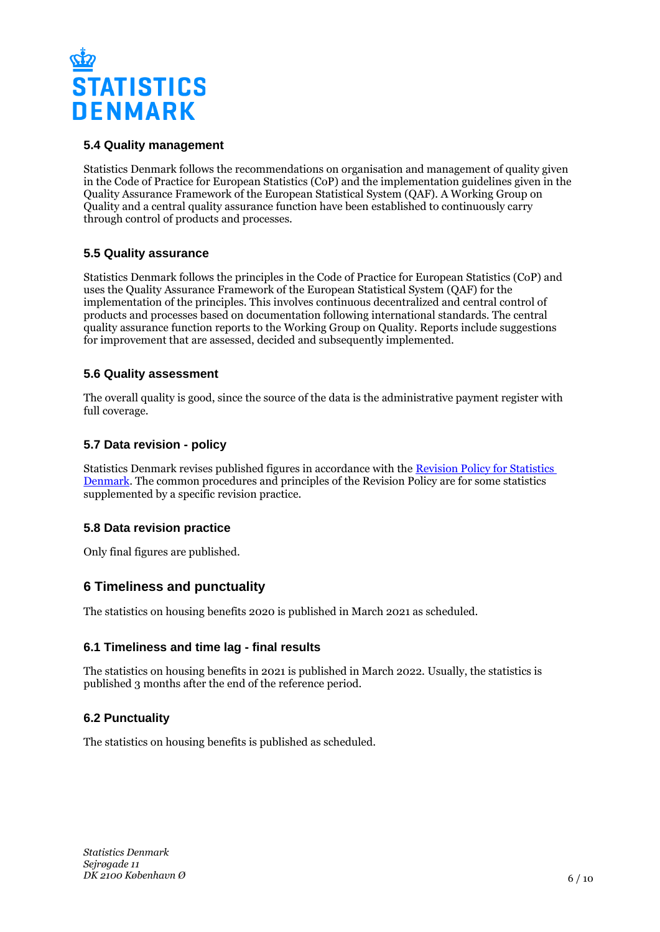

## **5.4 Quality management**

Statistics Denmark follows the recommendations on organisation and management of quality given in the Code of Practice for European Statistics (CoP) and the implementation guidelines given in the Quality Assurance Framework of the European Statistical System (QAF). A Working Group on Quality and a central quality assurance function have been established to continuously carry through control of products and processes.

## **5.5 Quality assurance**

Statistics Denmark follows the principles in the Code of Practice for European Statistics (CoP) and uses the Quality Assurance Framework of the European Statistical System (QAF) for the implementation of the principles. This involves continuous decentralized and central control of products and processes based on documentation following international standards. The central quality assurance function reports to the Working Group on Quality. Reports include suggestions for improvement that are assessed, decided and subsequently implemented.

## **5.6 Quality assessment**

The overall quality is good, since the source of the data is the administrative payment register with full coverage.

## **5.7 Data revision - policy**

Statistics Denmark revises published figures in accordance with the [Revision Policy for Statistics](https://www.dst.dk/en/OmDS/strategi-og-kvalitet/revisionspolitik.aspx)  [Denmark.](https://www.dst.dk/en/OmDS/strategi-og-kvalitet/revisionspolitik.aspx) The common procedures and principles of the Revision Policy are for some statistics supplemented by a specific revision practice.

## **5.8 Data revision practice**

Only final figures are published.

# **6 Timeliness and punctuality**

The statistics on housing benefits 2020 is published in March 2021 as scheduled.

## **6.1 Timeliness and time lag - final results**

The statistics on housing benefits in 2021 is published in March 2022. Usually, the statistics is published 3 months after the end of the reference period.

## **6.2 Punctuality**

The statistics on housing benefits is published as scheduled.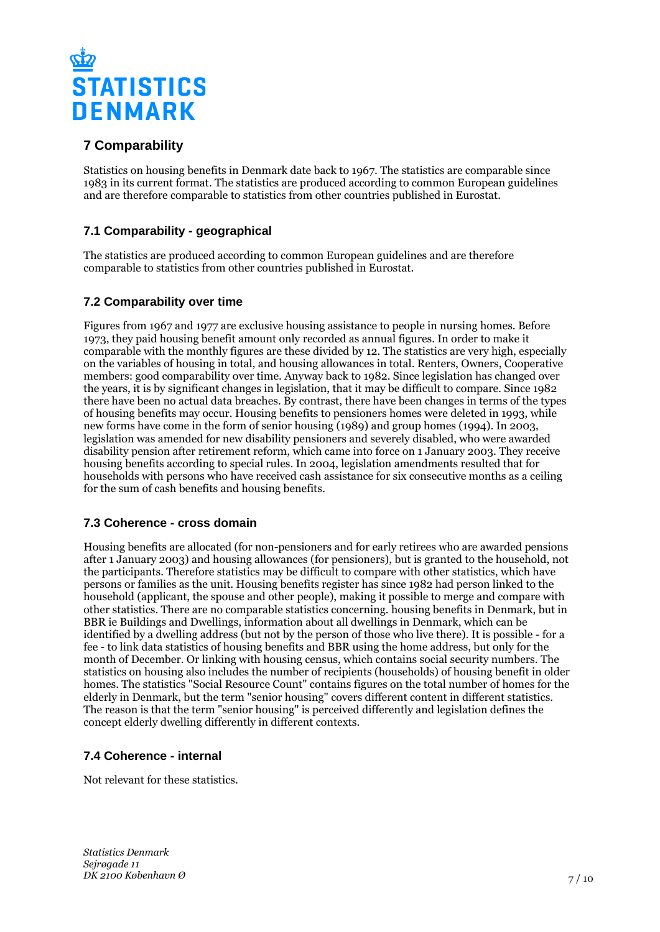

# **7 Comparability**

Statistics on housing benefits in Denmark date back to 1967. The statistics are comparable since 1983 in its current format. The statistics are produced according to common European guidelines and are therefore comparable to statistics from other countries published in Eurostat.

# **7.1 Comparability - geographical**

The statistics are produced according to common European guidelines and are therefore comparable to statistics from other countries published in Eurostat.

## **7.2 Comparability over time**

Figures from 1967 and 1977 are exclusive housing assistance to people in nursing homes. Before 1973, they paid housing benefit amount only recorded as annual figures. In order to make it comparable with the monthly figures are these divided by 12. The statistics are very high, especially on the variables of housing in total, and housing allowances in total. Renters, Owners, Cooperative members: good comparability over time. Anyway back to 1982. Since legislation has changed over the years, it is by significant changes in legislation, that it may be difficult to compare. Since 1982 there have been no actual data breaches. By contrast, there have been changes in terms of the types of housing benefits may occur. Housing benefits to pensioners homes were deleted in 1993, while new forms have come in the form of senior housing (1989) and group homes (1994). In 2003, legislation was amended for new disability pensioners and severely disabled, who were awarded disability pension after retirement reform, which came into force on 1 January 2003. They receive housing benefits according to special rules. In 2004, legislation amendments resulted that for households with persons who have received cash assistance for six consecutive months as a ceiling for the sum of cash benefits and housing benefits.

## **7.3 Coherence - cross domain**

Housing benefits are allocated (for non-pensioners and for early retirees who are awarded pensions after 1 January 2003) and housing allowances (for pensioners), but is granted to the household, not the participants. Therefore statistics may be difficult to compare with other statistics, which have persons or families as the unit. Housing benefits register has since 1982 had person linked to the household (applicant, the spouse and other people), making it possible to merge and compare with other statistics. There are no comparable statistics concerning. housing benefits in Denmark, but in BBR ie Buildings and Dwellings, information about all dwellings in Denmark, which can be identified by a dwelling address (but not by the person of those who live there). It is possible - for a fee - to link data statistics of housing benefits and BBR using the home address, but only for the month of December. Or linking with housing census, which contains social security numbers. The statistics on housing also includes the number of recipients (households) of housing benefit in older homes. The statistics "Social Resource Count" contains figures on the total number of homes for the elderly in Denmark, but the term "senior housing" covers different content in different statistics. The reason is that the term "senior housing" is perceived differently and legislation defines the concept elderly dwelling differently in different contexts.

# **7.4 Coherence - internal**

Not relevant for these statistics.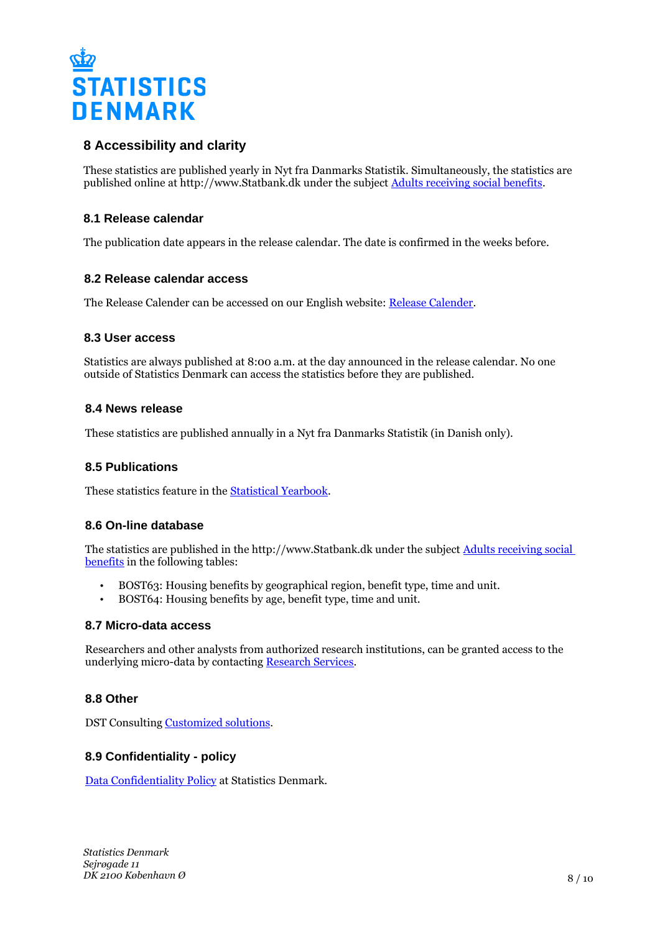

# **8 Accessibility and clarity**

These statistics are published yearly in Nyt fra Danmarks Statistik. Simultaneously, the statistics are published online at http://www.Statbank.dk under the subject [Adults receiving social benefits](https://www.statbank.dk/10047).

#### **8.1 Release calendar**

The publication date appears in the release calendar. The date is confirmed in the weeks before.

#### **8.2 Release calendar access**

The Release Calender can be accessed on our English website: [Release Calender.](https://www.dst.dk/en/Statistik/offentliggoerelser.aspx)

#### **8.3 User access**

Statistics are always published at 8:00 a.m. at the day announced in the release calendar. No one outside of Statistics Denmark can access the statistics before they are published.

#### **8.4 News release**

These statistics are published annually in a Nyt fra Danmarks Statistik (in Danish only).

#### **8.5 Publications**

These statistics feature in the [Statistical Yearbook.](https://www.dst.dk/en/Statistik/Publikationer)

#### **8.6 On-line database**

The statistics are published in the http://www.Statbank.dk under the subject [Adults receiving social](http://www.statbank.dk/10047)  [benefits](http://www.statbank.dk/10047) in the following tables:

- BOST63: Housing benefits by geographical region, benefit type, time and unit.
- BOST64: Housing benefits by age, benefit type, time and unit.

#### **8.7 Micro-data access**

Researchers and other analysts from authorized research institutions, can be granted access to the underlying micro-data by contacting [Research Services](http://www.dst.dk/en/TilSalg/Forskningsservice).

#### **8.8 Other**

DST Consulting [Customized solutions.](https://www.dst.dk/en/TilSalg/skraeddersyede-loesninger)

#### **8.9 Confidentiality - policy**

[Data Confidentiality Policy](https://www.dst.dk/ext/502998790/0/formid/data-confidentiality-policy-at-statistics-denmark--pdf) at Statistics Denmark.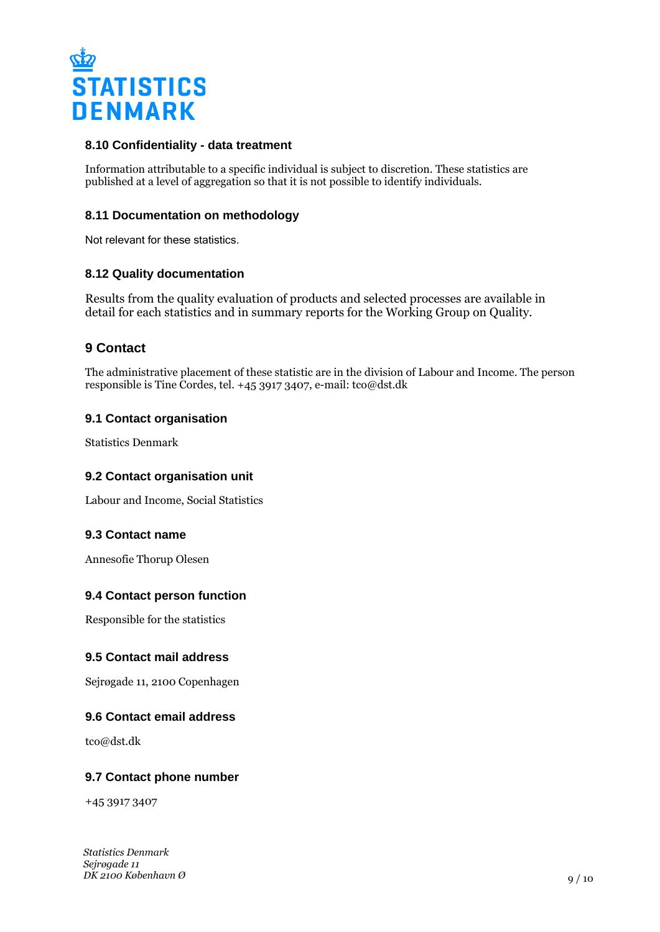

#### **8.10 Confidentiality - data treatment**

Information attributable to a specific individual is subject to discretion. These statistics are published at a level of aggregation so that it is not possible to identify individuals.

#### **8.11 Documentation on methodology**

Not relevant for these statistics.

#### **8.12 Quality documentation**

Results from the quality evaluation of products and selected processes are available in detail for each statistics and in summary reports for the Working Group on Quality.

# **9 Contact**

The administrative placement of these statistic are in the division of Labour and Income. The person responsible is Tine Cordes, tel. +45 3917 3407, e-mail: tco@dst.dk

#### **9.1 Contact organisation**

Statistics Denmark

#### **9.2 Contact organisation unit**

Labour and Income, Social Statistics

#### **9.3 Contact name**

Annesofie Thorup Olesen

## **9.4 Contact person function**

Responsible for the statistics

#### **9.5 Contact mail address**

Sejrøgade 11, 2100 Copenhagen

#### **9.6 Contact email address**

tco@dst.dk

#### **9.7 Contact phone number**

+45 3917 3407